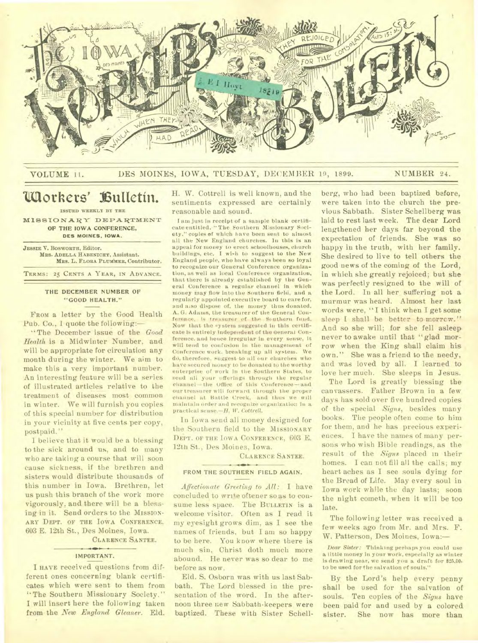

### VOLUME 11. DES MOINES, IOWA, TUESDAY, DECEMBER 19, 1899. NUMBER 24.

# Uaorkers' **Bulletin.**

**ISSUED WEEKLY BY THE** 

MISSIONARY DEPARTMENT OF THE IOWA **CONFERENCE, DES MOINES. IOWA.** 

**JESSIE V. BOSWORTH,** Editor. Mits. **ADELLA HABENICHT,** Assistant. MRS. L. FLORA PLUMMER, Contributor. **TERMS: 25 CENTS A YEAR, IN ADVANCE.** 

### THE DECEMBER NUMBER OF "GOOD HEALTH."

FROM a letter by the Good Health Pub. Co., 1 quote the following:—

"The December issue of the *Good Health* is a Midwinter Number. and will be appropriate for circulation any month during the winter. We aim to make this a very important number. An interesting feature will be a series of illustrated articles relative to the treatment of diseases most common in winter. We will furnish you copies of this special number for distribution in your vicinity at five cents per copy, postpaid."

I believe that it would be a blessing to the sick around us, and to many who are taking a course that will soon cause sickness, if the brethren and sisters would distribute thousands of this number in Iowa. Brethren, let us push this branch of the work more vigorously. and there will be a blessing in it. Send orders to the MISSION-ARY DEPT. OF THE IOWA CONFERENCE. 603 E. 12th St., Des Moines, Iowa.

CLARENCE SANTEE.

#### **IMPORTANT.**

I HAVE received questions from different ones concerning blank certificates which were sent to them from "The Southern Missionary Society." I will insert here the following taken from the *New England Gleaner.* Eld. H. W. Cottrell is well known, and the sentiments expressed are certainly reasonable and sound.

I am just in receipt of a sample blank certificate entitled, "The Southern Missionary Society." copies **of** which have been sent to almost all the New England churches. In this is an appeal for money to erect schoolhouses, church buildings, etc. I wish to suggest to the New England people, who have always been so loyal to recognize our General Conference organization, as well as local Conference organization, that there is already established by the General Conference a regular channel in which money may flow into the Southern field, and a regularly appointed executive board to care for, and also dispose of, the money thus donated. A. G. Adams, the treasurer of the General Conference, is treasurer of the Southern fund. Now that the «ystem suggested in this certificate is entirely independent of the General Conference. and hence irregular in every sense, it will tend to confusion in the management of Conference work. breaking up all system. We do, therefore, suggest to all our churches who have secured money to be donated to the worthy enterprise of work in the Southern States, to send all your offerings through the regular channel—the Office of this Conference—and our treasurer will forward through the proper channel at Battle Creek, and thus we will maintain order arid recognize organization in a practical sense.—H. W. *Cottrell.* 

In Iowa send all money designed for the Southern field to the MISSIONARY DEPT. OF THE IOWA CONFERENCE, 603 E. 12th St., Des Moines, Iowa.

CLARENCE SANTEE.

### **FROM THE SOUTHERN FIELD AGAIN.**

*Affectionate Greeting to All:* I have concluded to write **oftener so as** to consume less space. The BULLETIN is a welcome visitor. Often as I read it my eyesight grows dim, as I see the names of friends, but I am so happy to be here. You know where there is much sin, Christ doth much more abound. He never was so dear to me before as now.

Eld. S. Osborn was with us last Sabbath. The Lord blessed in the presentation of the word. In the afternoon three new Sabbath-keepers were baptized. These with Sister Schell-

berg, who had been baptized before, were taken into the church the previous Sabbath. Sister Schellberg was laid to rest last week. The dear Lord lengthened her days far beyond the expectation of friends. She was so happy in the truth, with her family. She desired to live to tell others the good news of the coming of the Lord, in which she greatly rejoiced; but she was perfectly resigned to the will of the Lord. In all her suffering not a murmur was heard. Almost her last words were, "I think when I get some sleep I shall be better to  $morrow.''$ And so she will; for she fell asleep never to awake until that "glad morrow when the King shall claim his own." She was a friend to the needy, and was loved by all. I learned to love her much. She sleeps in Jesus.

The Lord is greatly blessing the canvassers. Father Brown in a few days has sold over five hundred copies of the special *Signs,* besides many books. The people often come to him for them, and he has precious experiences. I have the names of many persons who wish Bible readings, as the result of the *Signs* placed in their homes. I can not fill all the calls; my heart aches as I see souls dying for the Bread of Life. May every soul in Iowa work while the day lasts; soon the night cometh, when it will be too late.

The following letter was received a few weeks ago from Mr. and Mrs. F. W. Patterson, Des Moines, Iowa:—

Dear *Sister:* Thinking perhaps you could use a little money in your work, especially as winter is drawing near, we send you a draft for \$25.00, to be used for the salvation of souls."

By the Lord's help every penny shall be used for the salvation **of**  souls. Ten copies of the *Signs* have been paid for and used by a colored sister. She now has **more than**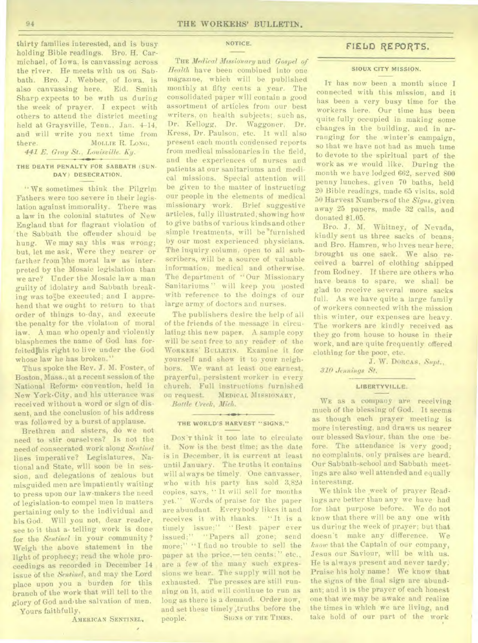thirty families interested, and is busy holding Bible readings. Bro. H. Carmichael, of Iowa. is canvassing across the river. He meets with us on Sabbath. Bro. J. Webber. of Iowa, is also canvassing here. Eld. Smith Sharp expects to be with us during the week of prayer. I expect with others to attend the district meeting held at Graysville, Tenn., Jan. 4-14, and will write you next time from there. **MOLLIE R. LONG,** *441 E. Gray St., Louisville. Ky.* 

## **THE DEATH PENALTY FOR SABBATH (SUN-DAY) DESECRATION.**

" WE sometimes think the Pilgrim Fathers were too severe in their legislation against immorality. There was a law in the colonial statutes of New England that for flagrant violation of the Sabbath the offender should be hung. We may say this was wrong; but, let me ask, Were they nearer or farther from the moral law as interpreted by the Mosaic legislation than we are? Under the Mosaic law a man guilty of idolatry and Sabbath breaking was to be executed; and I apprehend that we ought to return to that order of things to-day, and execute the penalty for the violation of moral law. A man who openly and violently blasphemes the name of God has forfeitedihis right to live under the God whose law he has broken."

Thus spoke the Rev. J. M. Foster, of Boston, Mass., at a recent session of the National Reform. convention, held in New York'City, and his utterance was received without a word or sign of dissent, and the conclusion of his address was followed by a burst of applause.

Brethren and sisters, do we not need to stir ourselves? Is not the need of consecrated work along *Sentinel*  lines imperative? Legislatures, National and State, will soon be in session, and delegations of zealous but misguided men are impatiently waiting to press upon our law-makers the need of legislation•to compel men in matters pertaining only to the individual and his God. Will you not, dear reader, see to it that a• telling work is done for the *Sentinel* in your community ? Weigh the above statement in the light of prophecy; read the whole proceedings as recorded in December 14 issue of the *Sentinel,* and may the Lord place upon you a burden for this branch of the work that will tell to the glory of God and•the salvation of men.

Yours faithfully,

AMERICAN SENTINEL.

## NOTICE.

THE *Medical Missionary* and *Gospel of Health* have been combined into one magazine, which will be published monthly at fifty cents a year. The consolidated paper will contain a good assortment of articles from our best writers, on health subjects; such as, Dr. Kellogg, Dr. Waggoner, Dr. Kress, Dr. Paulson, etc. It will also present each month condensed reports from medical missionaries in the field, and the experiences of nurses and patients at our sanitariums and medical missions. Special attention will be given to the matter of instructing our people in the elements of medical missionary work. Brief suggestive articles, fully illustrated, showing how to give baths of various kinds and other simple treatments, will be furnished by our most experienced physicians. The inquiry column. open to all subscribers, will be a source of valuable information, medical and otherwise. The department of "Our Missionary Sanitariums " will keep you posted with reference to the doings of our large army of doctors and nurses.

The publishers desire the help of all of the friends of the message in circulating this new napes. A sample copy will be sent free to any reader of the WORKERS' BULLETIN. Examine it for yourself and show it to your neighbors. We want at least one earnest, prayerful, persistent worker in every church. Full instructions furnished on request. MEDICAL MISSIONARY, *Battle Creek, Mich.* 

#### **THE WORLD'S HARVEST "SIGNS."**

 $+ 101$ 

DON'T think it too late to circulate it. Now is the best time; as the date is in December, it is current at least until January. The truths it contains will always be timely. One canvasser, who with his party has sold 3,820 copies, says. " It will sell for months yet." Words of praise for the paper are abundant. Everybody likes it and receives it with thanks. "It is a timely issue;" "Best paper ever issued;" "Papers all gone; send more;" "I find no trouble to sell the paper at the price,—ten cents;" etc., are a few of the many such expressions we hear. The supply will not be exhausted. The presses are still running on it, and will continue to run as long as there is a demand. Order now, and set these timely ;truths before the people. SIGNS OF THE TIMES.

## FIELD REPORTS.

#### **SIOUX CITY MISSION.**

IT has now been a month since I connected with this mission, and it has been a very busy time for the workers here. Our time has been quite fully occupied in making some changes in the building, and in arranging for the winter's campaign. so that we have not had as much time to devote to the spiritual part of the work as we would like. During the month we have lodged 662, served 800 penny lunches, given 70 baths, held 20 Bible readings, made 65 visits, sold 50 Harvest Numbers of the *Signs,* given away 25 papers, made 32 calls, and donated \$1.05.

Bro. J. M. Whitney, of Nevada, kindly sent us three sacks of beans; and Bro. Hamren, who lives near here, brought us one sack. We also received a barrel of clothing shipped from Rodney. If there are others who have beans to spare, we shall be glad to receive several more sacks full. As we have quite a large family of workers connected with the mission this winter, our expenses are heavy. The workers are kindly received as they go from house to house in their work, and are quite frequently offered clothing for the poor, etc.

**J.** W. DORCAS. *Supt.,* 

*310 Jennings St.* 

#### **LIBERTYVILLE.**

WE as a company are receiving much of the blessing of God. It seems as though each prayer meeting is more interesting, and draws us nearer our blessed Saviour, than the one before. The attendance is very good: no complaints, only praises are heard. Our Sabbath-school and Sabbath meetings are also well attended and equally interesting.

We think the week of prayer Readings are better than any we have had for that purpose before. We do not know that there will be any one with us during the week of prayer; but that doesn't make any difference. We *know* that the Captain of our company, Jesus our Saviour, will be with us. He is always present and never tardy. Praise his holy name ! We know that the signs of the final sign are abundant; and it is the prayer of each honest one that we may be awake and realize the times in which we are living, and take hold of our part of the work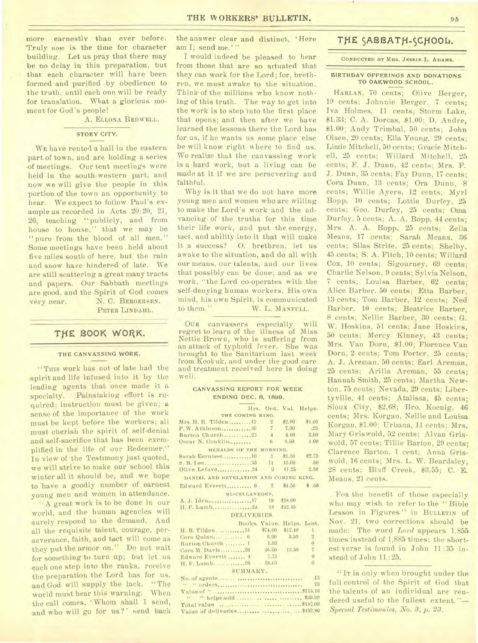more earnestly than ever before. 'Truly *now* is the time for character building. Let us pray that there may be no delay in this preparation, but that each character will have been formed and purified by obedience to the truth, until each one will be ready for translation. What a glorious moment for God's people!

A. ELLONA BEDWELL.

## **STORY CITY.**

WE have rented a hall in the eastern part of town, and are holding a series •of meetings. Our tent meetings were held in the south-western part, and now we will give the people in this portion of the town an opportunity to hear. We expect to follow Paul's example as recorded in Acts 20:20, 21, 26, teaching "publicly, and from house to house," that we may be "pure from the blood of all men." Some meetings have beep held about five miles south of here, but the rain and snow have hindered of late. We are still scattering a great many tracts and papers. Our Sabbath meetings are good, and the Spirit of God comes very near. N. C. BERGERSEN.

PETER LINDAHL.

## THE BOOK WORK.

#### THE CANVASSING WORK.

"THIS work has not of late had the spirit and life infused into it by the leading agents that once made it a specialty. Painstaking effort is required; instruction must be given; a sense of the importance of the work must be kept before the workers; all must cherish the spirit of self-denial and self-sacrifice that has been exemplified in the life of our Redeemer." In view of the Testimony just quoted, we will strive to make our school this winter all it should be, and we hope to have a goodly number of earnest young men and women in attendance.

A great work is to be done in our world, and the human agencies will surely respond to the demand. And all the requisite talent, courage, perseverance, faith, and tact will come as they put the armor on." Do not wait for something to turn up; but let us each one step into the ranks, receive the preparation the Lord has for us, and God will supply the lack. "The world must hear this warning. When the call comes, ' Whom shall I send, and who will go for us?' send back the answer clear and distinct, 'Here am I; send me.'''

I would indeed be pleased to hear from those that are so situated that they can work for the Lord; for, brethren, we must awake to the situation. Think of the millions who know nothing of this truth. The way to get into the work is to step into the first place that opens; and then after we have learned the lessons there the Lord has for us, if he wants us some place else he will know right where to find us. We realize that the canvassing work is a hard work, but a living can be made at it if we are persevering and faithful.

Why is it that we do not have more young men and women who are willing to make the Lord's work and the advancing of the truths for this time their life work, and put the energy, tact, and ability into it that will make it a success? 0, brethren, let us awake to the situation, and do all with our means, our talents, and our lives that possibly can be done; and as we work, "the Lord co-operates with the self-denying human workers. His own mind, his own Spirit, is communicated<br>to them." W. L. MANFULL. W. L. MANFULL.

OUR canvassers especially will regret to learn of the illness of Miss Nettie Brown, who is suffering from an attack of typhoid fever. She was brought to the Sanitarium last week from Keokuk, and under the good care and treatment received here is doing well.

#### **CANVASSING REPORT FOR WEEK ENDING DEC. 8, 1899.**

|                                        |  |            | Hrs. Ord. Val. Helps.      |                |  |  |  |  |
|----------------------------------------|--|------------|----------------------------|----------------|--|--|--|--|
| THE COMING KING.                       |  |            |                            |                |  |  |  |  |
| Mrs. H. B. Tilden 12                   |  | $2 * 2.00$ |                            | \$1.00         |  |  |  |  |
| P. W. Atkinson 39 7 7.00               |  |            |                            | .25            |  |  |  |  |
|                                        |  |            |                            |                |  |  |  |  |
|                                        |  |            |                            | 1.00           |  |  |  |  |
| HERALDS OF THE MORNING.                |  |            |                            |                |  |  |  |  |
| Sarah Eernisse 10 1 81.50 \$2.75       |  |            |                            |                |  |  |  |  |
| S. B. Lee. 35 11 15.00                 |  |            |                            | .50            |  |  |  |  |
|                                        |  |            |                            |                |  |  |  |  |
| DANTEL AND REVELATION AND COMING KING. |  |            |                            |                |  |  |  |  |
| Edward Everett 6 2 \$4.50              |  |            |                            | \$ .60         |  |  |  |  |
| MISCELLANEOUS.                         |  |            |                            |                |  |  |  |  |
| A.J. Iden17 19 \$18.90                 |  |            |                            |                |  |  |  |  |
|                                        |  |            |                            |                |  |  |  |  |
| DELIVERIES.                            |  |            |                            |                |  |  |  |  |
|                                        |  |            | Books, Value, Helps, Lost. |                |  |  |  |  |
| H. B. Tilden.  74 \$74.00              |  |            | $$12,40$ 1                 |                |  |  |  |  |
| Cora Quinn  6 6.00 3.50                |  |            |                            | $2 -$          |  |  |  |  |
| Burton Church  1 1.00                  |  |            |                            | $\overline{0}$ |  |  |  |  |
| Cora M. Davis26 26.00 12.50            |  |            |                            | $\tau$         |  |  |  |  |
| Edward Everstt 4                       |  | 7.75       |                            | $\Omega$       |  |  |  |  |
| H. F. Lamb 26 38.05                    |  |            |                            | $\alpha$       |  |  |  |  |
| SUMMARY.                               |  |            |                            |                |  |  |  |  |
|                                        |  |            |                            |                |  |  |  |  |
|                                        |  |            |                            | 79             |  |  |  |  |
|                                        |  |            |                            |                |  |  |  |  |
| " "helps sold    \$39.00               |  |            |                            |                |  |  |  |  |
|                                        |  |            |                            |                |  |  |  |  |
|                                        |  |            |                            |                |  |  |  |  |
|                                        |  |            |                            |                |  |  |  |  |

## THE SABBATH-SCHOOL.

**CONDUCTED BY MRS. JESSIE** L. **ADAMS.** 

#### **BIRTHDAY OFFERINGS AND DONATIONS TO OAKWOOD** SCHOOL.

HARLAN, 70 cents; Olive Berger, 19 cents; Johnnie Berger, 7 cents; Iva Holmes, 11 cents; Storm Lake, \$1.33; C. A. Dorcas, \$1.00; D. Andre, \$1.00; Andy Trimbal, 50 cents; John Olsen, 20 cents; Ella Young, 29 cents; Lizzie Mitchell, 50 cents; Gracie Mitchell, 25 cents; Willard Mitchell, 25 cents; F. J. Dunn, 42 cents; Mrs. F. J. Dunn, 35 cents; Fay Dunn, 17 cents; Cora Dunn, 13 cents; Ora Dunn, 8 cents; Willie Ayers, 12 cents; Myrl Bopp, 10 cents; Lottie Durfey, 25 cents; Geo. Durfey, 25 cents; Oma Durfey, 5 cents; A. A. Bopp, 44 cents; Mrs. A. A. Bopp, 25 cents; Zella Means, 17 cents; Sarah Means, 36 cents; Silas Strite, 25 cents; Shelby, 45 cents; S. A. Fitch, 10 cents; Willard Cox, 10 cents; Sigourney. 69 cents; Charlie Nelson, 9 cents; Sylvia Nelson, 7 cents; Louisa Barber, 62 cents; Alice Barber. 50 cents; Etta Barber, 13 cents; Tom Barber, 12 cents; Ned Barber, 10 cents; Beatrice Barber, 8 cents; Nellie Barber, 30 cents; G. W. Hoskins, 51 cents; Jane Hoskirs, 50 cents; Mercy Kinney, 43 cents; Mrs. Van Dorn, \$1.00; Florence Van Dorn, 2 cents; Tom Porter, 25 cents; A. J. Areman, 50 cents; Earl Areman, 25 cents; Arilla Areman, 55 cents; Hannah Smith, 25 cents; Martha Newton, 75 cents; Nevada, 29 cents; Libertyville, 41 cents; Atalissa, 45 cents; Sioux City, \$2.68; Bro. Koenig, 46 cents; Mrs. Korgan, Nellie and Louisa Korgan, \$1.00; Urbana, 11 cents; Mrs. Mary Griswold, 52 cents; Alvan Griswold, 57 cents; Tillie Barton, 29 cents; Clarence Barton, 1 cent; Anna Griswold, 16 cents; Mrs. L. W. Beardsley, 28 cents; Bluff Creek, \$3.55; C. E. Means, 21 cents.

FOR the benefit of those especially who may wish to refer to the " Bible Lesson in Figures " in BULLETIN of Nov. 21, two corrections should be made: The word *Lord* appears 1,855 times instead of 1,885 times; the shortest verse is found in John 11 :35 instead of John 11 :25.

"IT is only when brought under the full control of the Spirit of God that the talents of an individual are rendered useful to the fullest extent."-*Special Testimonies, No. 3, p. 23.*